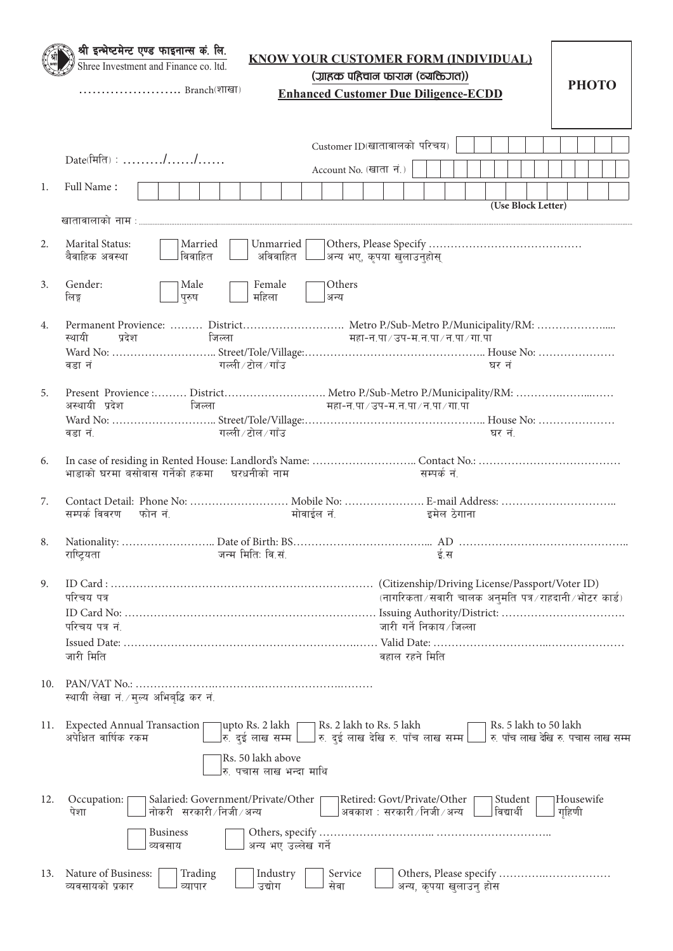| श्री इन्भेष्टमेन्ट एण्ड फाइनान्स कं. लि.<br><b>KNOW YOUR CUSTOMER FORM (INDIVIDUAL)</b><br>Shree Investment and Finance co. ltd.<br>(ज्राहक पहिचान फाराम (व्यक्तिजत))<br>Branch(शाखा)<br><b>Enhanced Customer Due Diligence-ECDD</b> |                                                                                                                                                                                                                                                                                                                               |  |
|--------------------------------------------------------------------------------------------------------------------------------------------------------------------------------------------------------------------------------------|-------------------------------------------------------------------------------------------------------------------------------------------------------------------------------------------------------------------------------------------------------------------------------------------------------------------------------|--|
|                                                                                                                                                                                                                                      | Customer ID(खातावालको परिचय)<br>Date(मिति): //<br>Account No. (खाता नं.)                                                                                                                                                                                                                                                      |  |
| 1.                                                                                                                                                                                                                                   | Full Name:                                                                                                                                                                                                                                                                                                                    |  |
|                                                                                                                                                                                                                                      | (Use Block Letter)                                                                                                                                                                                                                                                                                                            |  |
| 2.                                                                                                                                                                                                                                   | Unmarried $\Box$<br>Marital Status:<br>Married<br>।<br>विवाहित<br>बैवाहिक अवस्था<br>अविवाहित<br>」अन्य भए, कृपया खुलाउन्होस्                                                                                                                                                                                                   |  |
| 3.                                                                                                                                                                                                                                   | Gender:<br>Male<br>Female<br>Others<br>महिला<br>लिङ्ग<br>पुरुष<br>अन्य                                                                                                                                                                                                                                                        |  |
| 4.                                                                                                                                                                                                                                   | Permanent Provience:  District Metro P./Sub-Metro P./Municipality/RM:<br>स्थायी<br>प्रदेश<br>जिल्ला<br>महा-न.पा∕उप-म.न.पा∕न.पा∕गा.पा<br>गल्ली ∕ टोल ∕ गाँउ<br>वडा नं<br>घर नं                                                                                                                                                 |  |
| 5.                                                                                                                                                                                                                                   | Present Provience : District Metro P./Sub-Metro P./Municipality/RM:<br>अस्थायी प्रदेश<br>जिल्ला<br>महा-न.पा⊅उप-म.न.पा⊅न.पा⊅गा.पा<br>गल्ली ∕ टोल ∕ गाँउ<br>वडा नं.<br>घर नं                                                                                                                                                    |  |
| 6.                                                                                                                                                                                                                                   | भाड़ाको घरमा बसोवास गर्नेको हकमा   घरधनीको नाम<br>सम्पर्क नं.                                                                                                                                                                                                                                                                 |  |
| 7.                                                                                                                                                                                                                                   | सम्पर्क विवरण<br>फोन नं.<br>मोवाईल नं.<br>इमेल ठेगाना                                                                                                                                                                                                                                                                         |  |
| 8.                                                                                                                                                                                                                                   | AD.<br>जन्म मिति: वि.सं.<br>राष्ट्रियता<br>ई.स                                                                                                                                                                                                                                                                                |  |
| 9.                                                                                                                                                                                                                                   | (Citizenship/Driving License/Passport/Voter ID)<br>(नागरिकता ∕ सवारी चालक अनुमति पत्र ∕ राहदानी ∕ भोटर कार्ड)<br>परिचय पत्र<br>जारी गर्ने निकाय ∕जिल्ला<br>परिचय पत्र नं.<br>जारी मिति<br>वहाल रहने मिति                                                                                                                      |  |
| 10.                                                                                                                                                                                                                                  | स्थायी लेखा नं. / मुल्य अभिबृद्धि कर नं.                                                                                                                                                                                                                                                                                      |  |
| 11.                                                                                                                                                                                                                                  | upto Rs. 2 lakh   Rs. 2 lakh to Rs. 5 lakh<br>Rs. 5 lakh to 50 lakh<br>Expected Annual Transaction [<br>अपेक्षित वार्षिक रकम<br>$\overline{s}$ ़दई लाख सम्म $\overline{a}$<br>$\vert$ रु. दुई लाख देखि रु. पाँच लाख सम्म $\,\lfloor\,$<br>रु. पाँच लाख देखि रु. पचास लाख सम्म<br>Rs. 50 lakh above<br>रु. पचास लाख भन्दा माथि |  |
| 12.                                                                                                                                                                                                                                  | Salaried: Government/Private/Other<br>Retired: Govt/Private/Other<br>Student<br>Occupation:<br> Housewife<br>विद्यार्थी<br>नोकरी सरकारी ∕निजी ∕ अन्य<br>अवकाश ∶ सरकारी ∕ निजी ∕ अन्य<br>गृहिणी<br>पेशा<br><b>Business</b><br>अन्य भए उल्लेख गर्ने<br>व्यवसाय                                                                  |  |
| 13.                                                                                                                                                                                                                                  | Nature of Business:<br>Trading<br>Industry<br>Service<br>व्यवसायको प्रकार<br>उद्योग<br>सेवा<br>अन्य, कृपया खुलाउन् होस<br>व्यापार                                                                                                                                                                                             |  |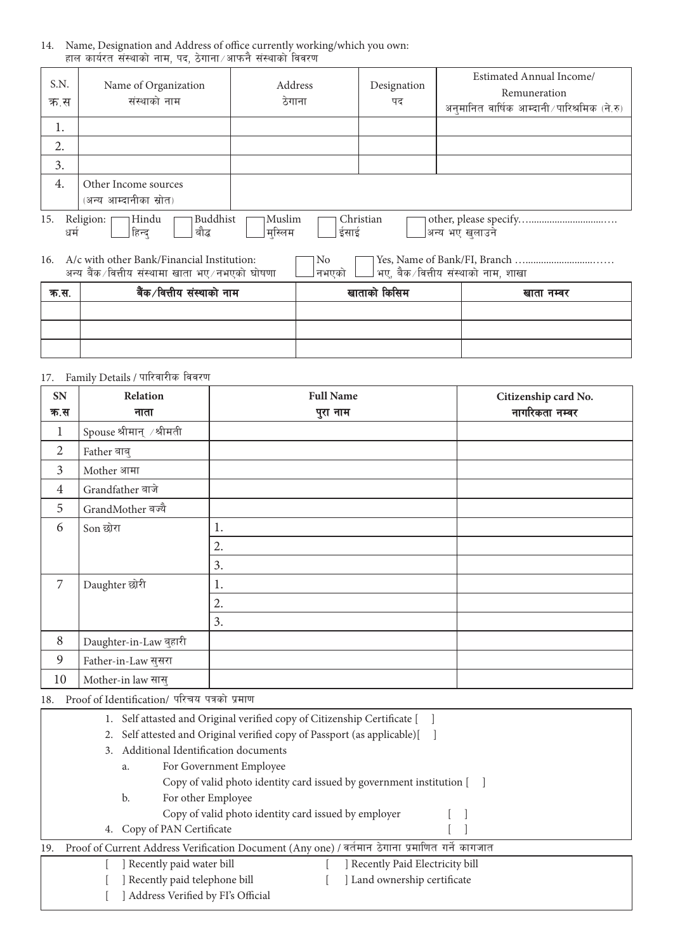14. Name, Designation and Address of office currently working/which you own: हाल कार्यरत संस्थाको नाम, पद, ठेगाना /आफनै संस्थाको विवरण

| S.N.<br>क.स                                                                                                                                               | Name of Organization<br>संस्थाको नाम                                                                                  | Address<br>ठेगाना |  | Designation<br>पद | Estimated Annual Income/<br>Remuneration<br>अनुमानित वार्षिक आम्दानी/पारिश्रमिक (ने.रु) |
|-----------------------------------------------------------------------------------------------------------------------------------------------------------|-----------------------------------------------------------------------------------------------------------------------|-------------------|--|-------------------|-----------------------------------------------------------------------------------------|
| 1.                                                                                                                                                        |                                                                                                                       |                   |  |                   |                                                                                         |
| 2.                                                                                                                                                        |                                                                                                                       |                   |  |                   |                                                                                         |
| 3.                                                                                                                                                        |                                                                                                                       |                   |  |                   |                                                                                         |
| 4.<br>Other Income sources<br>(अन्य आम्दानीका स्रोत)                                                                                                      |                                                                                                                       |                   |  |                   |                                                                                         |
| 15.                                                                                                                                                       | Buddhist<br>Muslim<br>Religion:<br>Hindu<br>Christian<br>बौद्ध<br>हिन्द<br>ईसाई<br>मुस्लिम<br>अन्य भए खुलाउने<br>धर्म |                   |  |                   |                                                                                         |
| A/c with other Bank/Financial Institution:<br>16.<br>No.<br>भए, बैक⁄वित्तीय संस्थाको नाम, शाखा<br>नभएको<br>अन्य बैंक⁄वित्तीय संस्थामा खाता भए⁄नभएको घोषणा |                                                                                                                       |                   |  |                   |                                                                                         |
| क.स.                                                                                                                                                      | बैंक⁄वित्तीय संस्थाको नाम                                                                                             |                   |  | खाताको किसिम      | खाता नम्वर                                                                              |
|                                                                                                                                                           |                                                                                                                       |                   |  |                   |                                                                                         |
|                                                                                                                                                           |                                                                                                                       |                   |  |                   |                                                                                         |
|                                                                                                                                                           |                                                                                                                       |                   |  |                   |                                                                                         |

## 17. Family Details / पारिवारीक विवरण

| ${\bf SN}$     | Relation                 | <b>Full Name</b> | Citizenship card No. |
|----------------|--------------------------|------------------|----------------------|
| क.स            | नाता                     | पुरा नाम         | नागरिकता नम्बर       |
| $\mathbf{1}$   | Spouse श्रीमान् /श्रीमती |                  |                      |
| $\overline{2}$ | Father बाबु              |                  |                      |
| $\overline{3}$ | Mother आमा               |                  |                      |
| $\overline{4}$ | Grandfather बाजे         |                  |                      |
| 5              | GrandMother बज्यै        |                  |                      |
| 6              | Son छोरा                 | 1.               |                      |
|                |                          | 2.               |                      |
|                |                          | 3.               |                      |
| 7              | Daughter छोरी            | 1.               |                      |
|                |                          | 2.               |                      |
|                |                          | 3.               |                      |
| $8\,$          | Daughter-in-Law बुहारी   |                  |                      |
| 9              | Father-in-Law सुसरा      |                  |                      |
| 10             | Mother-in law सास्       |                  |                      |

## 18. Proof of Identification/ परिचय पत्रको प्रमाण

|     | 1. Self attasted and Original verified copy of Citizenship Certificate [ ] |                                                                                                 |  |
|-----|----------------------------------------------------------------------------|-------------------------------------------------------------------------------------------------|--|
|     | 2. Self attested and Original verified copy of Passport (as applicable)[   |                                                                                                 |  |
|     | Additional Identification documents<br>3.                                  |                                                                                                 |  |
|     |                                                                            | For Government Employee<br>a.                                                                   |  |
|     |                                                                            | Copy of valid photo identity card issued by government institution [                            |  |
|     |                                                                            | For other Employee<br>b.                                                                        |  |
|     |                                                                            | Copy of valid photo identity card issued by employer                                            |  |
|     | 4.                                                                         | Copy of PAN Certificate                                                                         |  |
| 19. |                                                                            | Proof of Current Address Verification Document (Any one) / वर्तमान ठेगाना प्रमाणित गर्ने कागजात |  |
|     |                                                                            | Recently Paid Electricity bill<br>Recently paid water bill                                      |  |
|     |                                                                            | Land ownership certificate<br>Recently paid telephone bill                                      |  |
|     |                                                                            | Address Verified by FI's Official                                                               |  |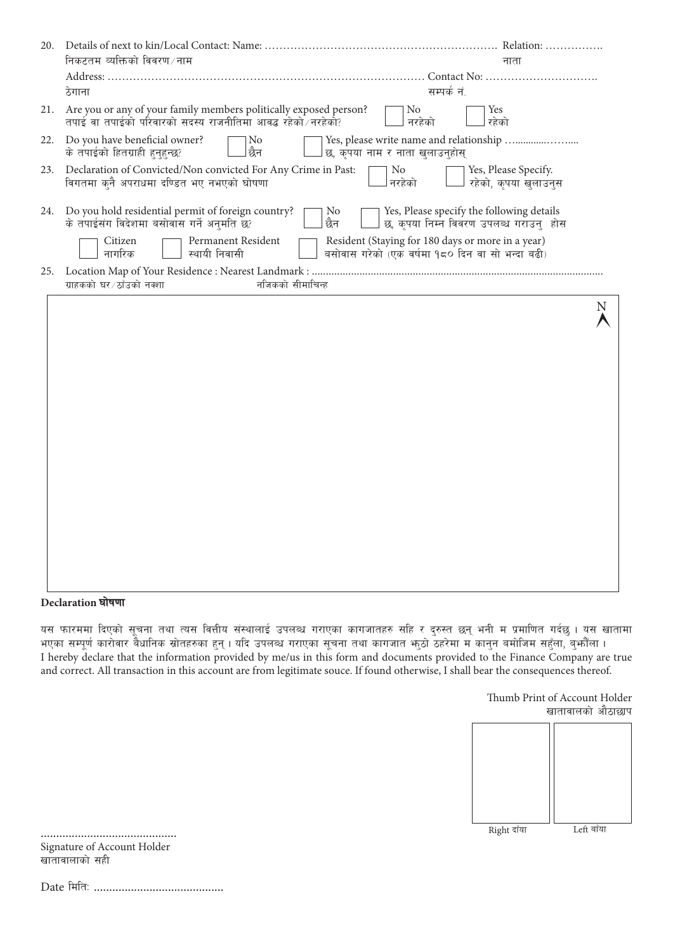| 20. | निकटतम व्यक्तिको विवरण ⁄ नाम                                                                                                                     | नाता                                                                                                  |
|-----|--------------------------------------------------------------------------------------------------------------------------------------------------|-------------------------------------------------------------------------------------------------------|
|     | ठेगाना                                                                                                                                           | सम्पर्क नं.                                                                                           |
| 21. | Are you or any of your family members politically exposed person?<br>No<br>तपाई वा तपाईको परिवारको सदस्य राजनीतिमा आवद्ध रहेको नरहेको?<br>नरहेको | <b>Yes</b><br>रहेको                                                                                   |
| 22. | Do you have beneficial owner?<br>No<br>छेन<br>के तपाईको हितग्राही हुनुहुन्छ?<br>छ, कृपया नाम र नाता खुलाउन्होस्                                  |                                                                                                       |
| 23. | Declaration of Convicted/Non convicted For Any Crime in Past:<br>N <sub>o</sub><br>विगतमा कुनै अपराधमा दण्डित भए नभएको घोषणा<br>नरहेको           | Yes, Please Specify.<br>रहेको, कृपया खुलाउनुस                                                         |
| 24. | Do you hold residential permit of foreign country?<br>No<br>छैन<br>के तपाईसंग विदेशमा बसोवास गर्ने अनुमति छ?                                     | Yes, Please specify the following details<br>छ, कृपया निम्न विवरण उपलब्ध गराउन्  होस                  |
|     | Permanent Resident<br>Citizen<br>नागरिक<br>स्थायी निवासी                                                                                         | Resident (Staying for 180 days or more in a year)<br>बसोवास गरेको (एक वर्षमा १८० दिन वा सो भन्दा बढी) |
| 25. | ग्राहकको घर/ठाँउको नक्शा<br>नजिकको सीमाचिन्ह                                                                                                     |                                                                                                       |
|     |                                                                                                                                                  | N                                                                                                     |

## **Declaration घोषणा**

यस फारममा दिएको सूचना तथा त्यस वित्तीय संस्थालाई उपलब्ध गराएका कागजातहरु सहि र दुरुस्त छन् भनी म प्रमाणित गर्दछु । यस खातामा भएका सम्पूर्ण कारोवार बैधानिक स्रोतहरुका हुन् । यदि उपलब्ध गराएका सूचना तथा कागजात भठुठो ठहरेमा म कानुन बमोजिम सहुँला, बुभ्गैँला । I hereby declare that the information provided by me/us in this form and documents provided to the Finance Company are true and correct. All transaction in this account are from legitimate souce. If found otherwise, I shall bear the consequences thereof.

> Thumb Print of Account Holder खातावालको औठाछाप



| Signature of Account Holder |
|-----------------------------|
| खातावालाको सही              |

Date ldltM ..........................................